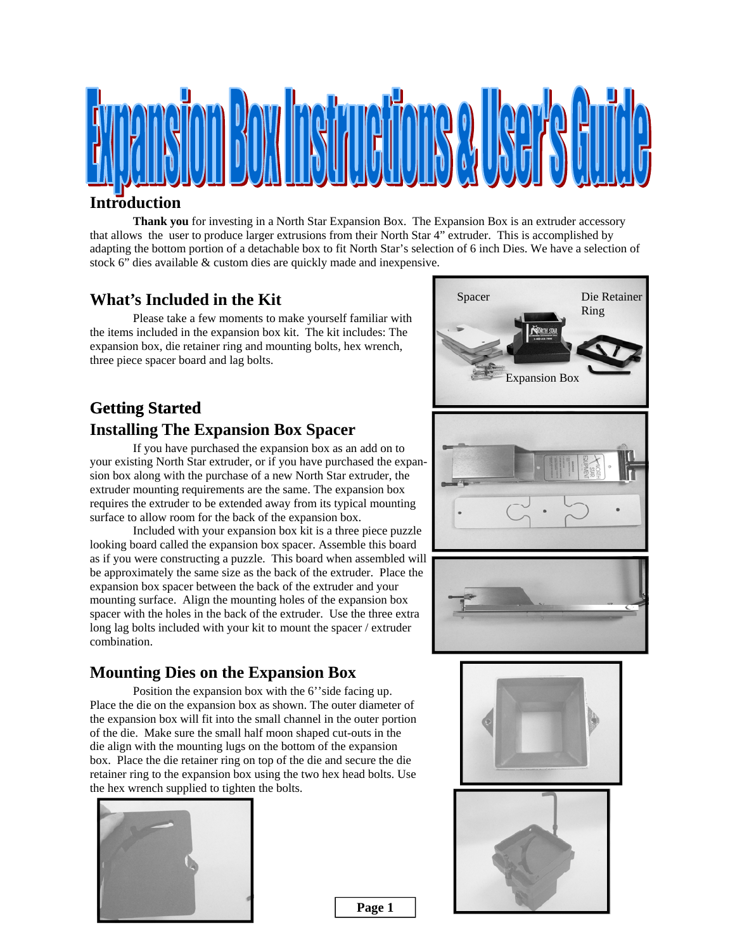

#### **Introduction**

**Thank you** for investing in a North Star Expansion Box. The Expansion Box is an extruder accessory that allows the user to produce larger extrusions from their North Star 4" extruder. This is accomplished by adapting the bottom portion of a detachable box to fit North Star's selection of 6 inch Dies. We have a selection of stock 6" dies available & custom dies are quickly made and inexpensive.

### **What's Included in the Kit**

 Please take a few moments to make yourself familiar with the items included in the expansion box kit. The kit includes: The expansion box, die retainer ring and mounting bolts, hex wrench, three piece spacer board and lag bolts.

## **Getting Started Installing The Expansion Box Spacer**

 If you have purchased the expansion box as an add on to your existing North Star extruder, or if you have purchased the expansion box along with the purchase of a new North Star extruder, the extruder mounting requirements are the same. The expansion box requires the extruder to be extended away from its typical mounting surface to allow room for the back of the expansion box.

 Included with your expansion box kit is a three piece puzzle looking board called the expansion box spacer. Assemble this board as if you were constructing a puzzle. This board when assembled will be approximately the same size as the back of the extruder. Place the expansion box spacer between the back of the extruder and your mounting surface. Align the mounting holes of the expansion box spacer with the holes in the back of the extruder. Use the three extra long lag bolts included with your kit to mount the spacer / extruder combination.

### **Mounting Dies on the Expansion Box**

Position the expansion box with the 6" side facing up. Place the die on the expansion box as shown. The outer diameter of the expansion box will fit into the small channel in the outer portion of the die. Make sure the small half moon shaped cut-outs in the die align with the mounting lugs on the bottom of the expansion box. Place the die retainer ring on top of the die and secure the die retainer ring to the expansion box using the two hex head bolts. Use the hex wrench supplied to tighten the bolts.





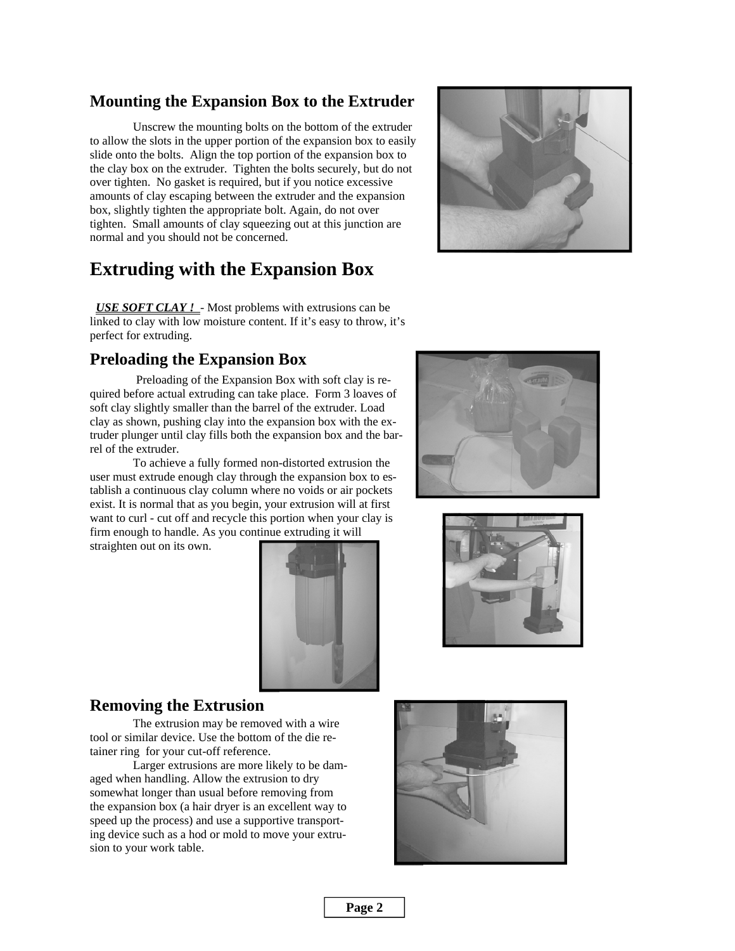### **Mounting the Expansion Box to the Extruder**

 Unscrew the mounting bolts on the bottom of the extruder to allow the slots in the upper portion of the expansion box to easily slide onto the bolts. Align the top portion of the expansion box to the clay box on the extruder. Tighten the bolts securely, but do not over tighten. No gasket is required, but if you notice excessive amounts of clay escaping between the extruder and the expansion box, slightly tighten the appropriate bolt. Again, do not over tighten. Small amounts of clay squeezing out at this junction are normal and you should not be concerned.

## **Extruding with the Expansion Box**

 *USE SOFT CLAY !* - Most problems with extrusions can be linked to clay with low moisture content. If it's easy to throw, it's perfect for extruding.

#### **Preloading the Expansion Box**

 Preloading of the Expansion Box with soft clay is required before actual extruding can take place. Form 3 loaves of soft clay slightly smaller than the barrel of the extruder. Load clay as shown, pushing clay into the expansion box with the extruder plunger until clay fills both the expansion box and the barrel of the extruder.

 To achieve a fully formed non-distorted extrusion the user must extrude enough clay through the expansion box to establish a continuous clay column where no voids or air pockets exist. It is normal that as you begin, your extrusion will at first want to curl - cut off and recycle this portion when your clay is firm enough to handle. As you continue extruding it will straighten out on its own.



#### **Removing the Extrusion**

 The extrusion may be removed with a wire tool or similar device. Use the bottom of the die retainer ring for your cut-off reference.

 Larger extrusions are more likely to be damaged when handling. Allow the extrusion to dry somewhat longer than usual before removing from the expansion box (a hair dryer is an excellent way to speed up the process) and use a supportive transporting device such as a hod or mold to move your extrusion to your work table.







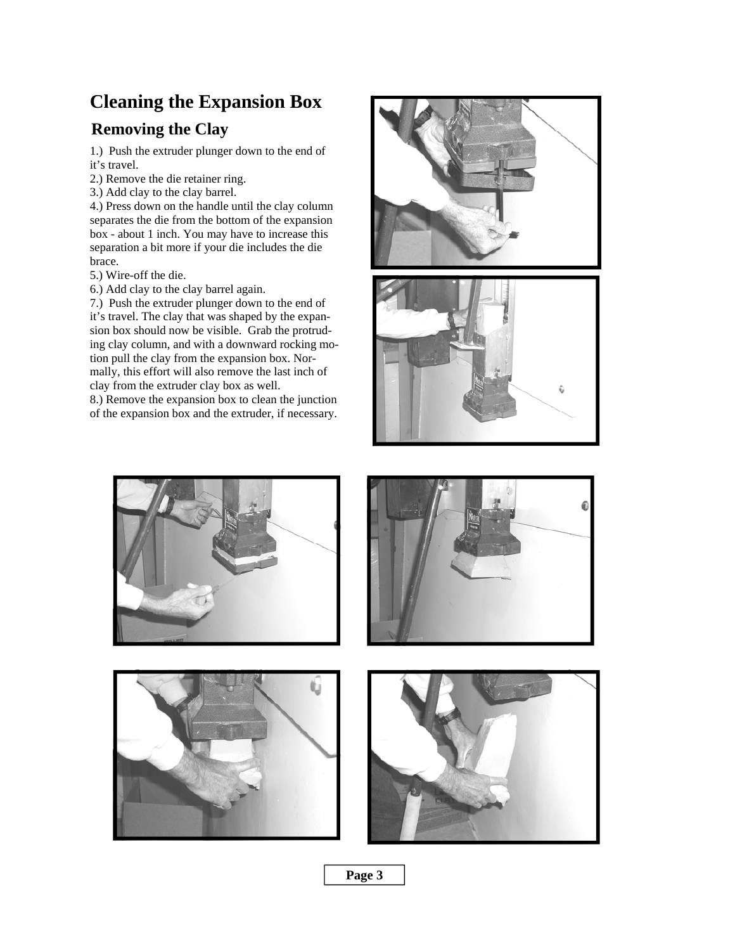## **Cleaning the Expansion Box**

## **Removing the Clay**

1.) Push the extruder plunger down to the end of it's travel.

- 2.) Remove the die retainer ring.
- 3.) Add clay to the clay barrel.

4.) Press down on the handle until the clay column separates the die from the bottom of the expansion box - about 1 inch. You may have to increase this separation a bit more if your die includes the die brace.

5.) Wire-off the die.

6.) Add clay to the clay barrel again.

7.) Push the extruder plunger down to the end of it's travel. The clay that was shaped by the expansion box should now be visible. Grab the protruding clay column, and with a downward rocking motion pull the clay from the expansion box. Normally, this effort will also remove the last inch of clay from the extruder clay box as well.

8.) Remove the expansion box to clean the junction of the expansion box and the extruder, if necessary.











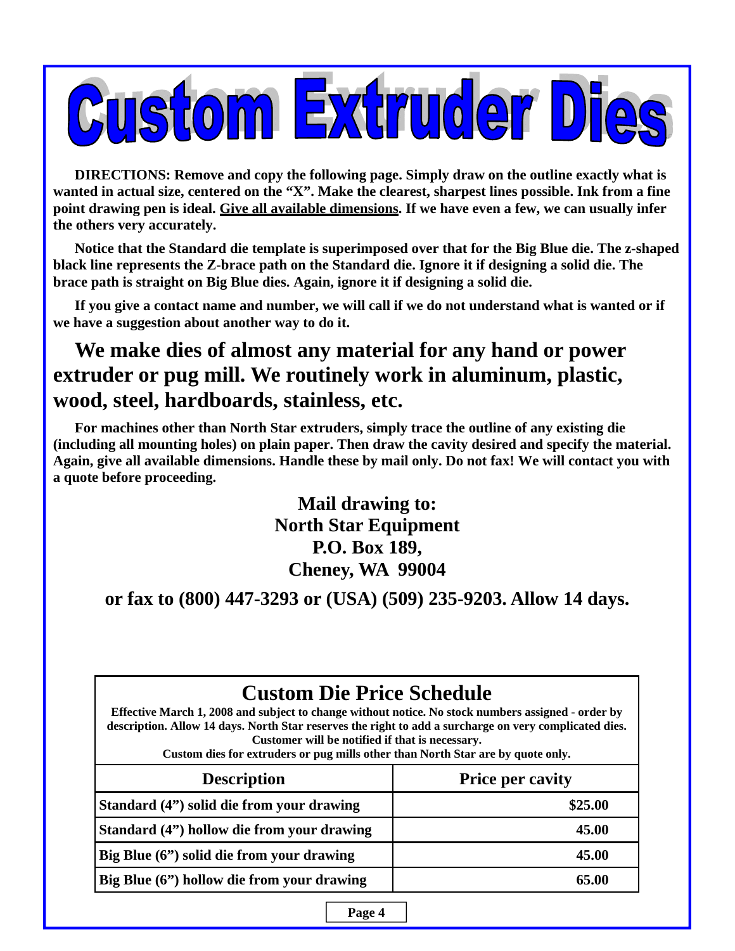

**DIRECTIONS: Remove and copy the following page. Simply draw on the outline exactly what is wanted in actual size, centered on the "X". Make the clearest, sharpest lines possible. Ink from a fine point drawing pen is ideal. Give all available dimensions. If we have even a few, we can usually infer the others very accurately.** 

**Notice that the Standard die template is superimposed over that for the Big Blue die. The z-shaped black line represents the Z-brace path on the Standard die. Ignore it if designing a solid die. The brace path is straight on Big Blue dies. Again, ignore it if designing a solid die.** 

**If you give a contact name and number, we will call if we do not understand what is wanted or if we have a suggestion about another way to do it.** 

# **We make dies of almost any material for any hand or power extruder or pug mill. We routinely work in aluminum, plastic, wood, steel, hardboards, stainless, etc.**

**For machines other than North Star extruders, simply trace the outline of any existing die (including all mounting holes) on plain paper. Then draw the cavity desired and specify the material. Again, give all available dimensions. Handle these by mail only. Do not fax! We will contact you with a quote before proceeding.** 

> **Mail drawing to: North Star Equipment P.O. Box 189, Cheney, WA 99004**

**or fax to (800) 447-3293 or (USA) (509) 235-9203. Allow 14 days.** 

| <b>Custom Die Price Schedule</b><br>Effective March 1, 2008 and subject to change without notice. No stock numbers assigned - order by<br>description. Allow 14 days. North Star reserves the right to add a surcharge on very complicated dies.<br>Customer will be notified if that is necessary.<br>Custom dies for extruders or pug mills other than North Star are by quote only. |                         |
|----------------------------------------------------------------------------------------------------------------------------------------------------------------------------------------------------------------------------------------------------------------------------------------------------------------------------------------------------------------------------------------|-------------------------|
| <b>Description</b>                                                                                                                                                                                                                                                                                                                                                                     | <b>Price per cavity</b> |
| Standard (4") solid die from your drawing                                                                                                                                                                                                                                                                                                                                              | \$25.00                 |
| Standard (4") hollow die from your drawing                                                                                                                                                                                                                                                                                                                                             | 45.00                   |
| Big Blue (6") solid die from your drawing                                                                                                                                                                                                                                                                                                                                              | 45.00                   |
| Big Blue (6") hollow die from your drawing                                                                                                                                                                                                                                                                                                                                             | 65.00                   |